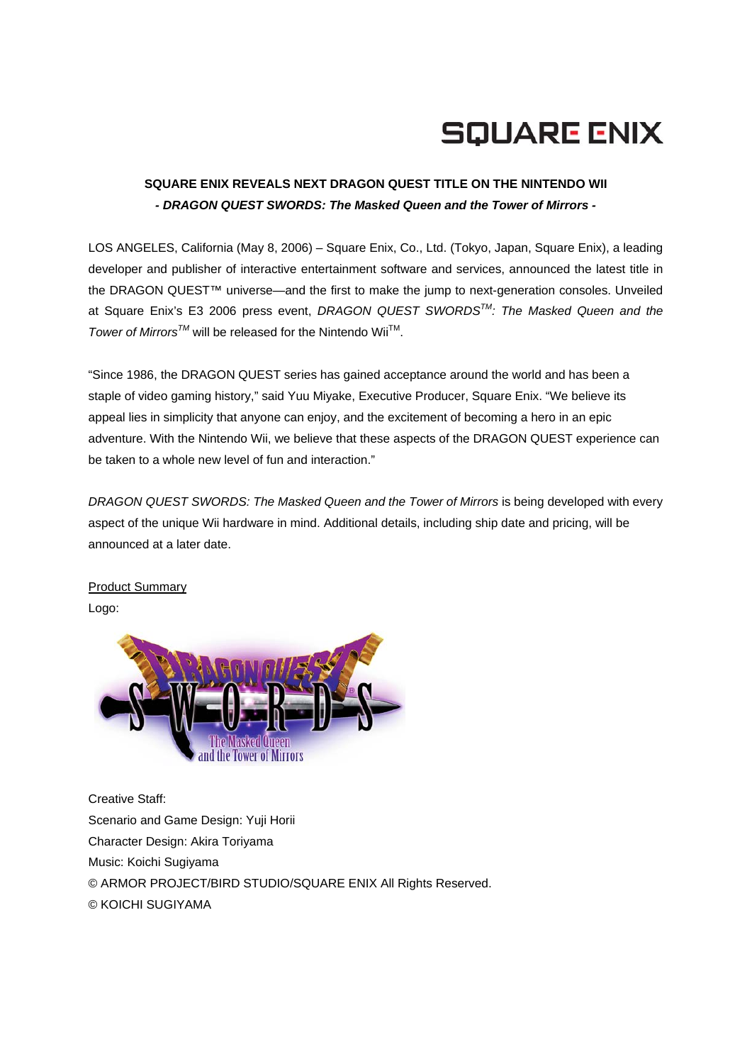## **SQUARE ENIX**

## **SQUARE ENIX REVEALS NEXT DRAGON QUEST TITLE ON THE NINTENDO WII**  *- DRAGON QUEST SWORDS: The Masked Queen and the Tower of Mirrors -*

LOS ANGELES, California (May 8, 2006) – Square Enix, Co., Ltd. (Tokyo, Japan, Square Enix), a leading developer and publisher of interactive entertainment software and services, announced the latest title in the DRAGON QUEST™ universe—and the first to make the jump to next-generation consoles. Unveiled at Square Enix's E3 2006 press event, *DRAGON QUEST SWORDSTM: The Masked Queen and the Tower of Mirrors<sup>™</sup>* will be released for the Nintendo Wii<sup>™</sup>.

"Since 1986, the DRAGON QUEST series has gained acceptance around the world and has been a staple of video gaming history," said Yuu Miyake, Executive Producer, Square Enix. "We believe its appeal lies in simplicity that anyone can enjoy, and the excitement of becoming a hero in an epic adventure. With the Nintendo Wii, we believe that these aspects of the DRAGON QUEST experience can be taken to a whole new level of fun and interaction."

*DRAGON QUEST SWORDS: The Masked Queen and the Tower of Mirrors* is being developed with every aspect of the unique Wii hardware in mind. Additional details, including ship date and pricing, will be announced at a later date.

Product Summary Logo:



Creative Staff: Scenario and Game Design: Yuji Horii Character Design: Akira Toriyama Music: Koichi Sugiyama © ARMOR PROJECT/BIRD STUDIO/SQUARE ENIX All Rights Reserved. © KOICHI SUGIYAMA